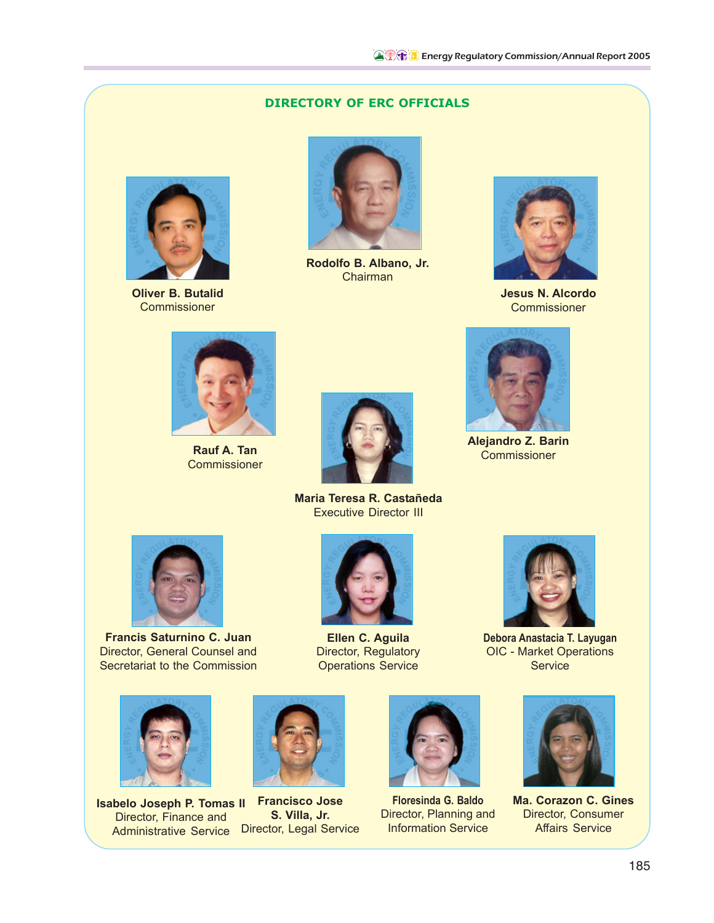## **DIRECTORY OF ERC OFFICIALS**



**Oliver B. Butalid Commissioner** 



**Rodolfo B. Albano, Jr.** Chairman



**Jesus N. Alcordo Commissioner** 



**Rauf A. Tan Commissioner** 



**Maria Teresa R. Castañeda** Executive Director III



**Francis Saturnino C. Juan** Director, General Counsel and Secretariat to the Commission



**Isabelo Joseph P. Tomas II Francisco Jose** Director, Finance and Administrative Service Director, Legal Service



**Ellen C. Aguila** Director, Regulatory Operations Service

**S. Villa, Jr.**



**Debora Anastacia T. Layugan** OIC - Market Operations **Service** 



**Floresinda G. Baldo** Director, Planning and Information Service



**Ma. Corazon C. Gines** Director, Consumer Affairs Service



**Alejandro Z. Barin** Commissioner